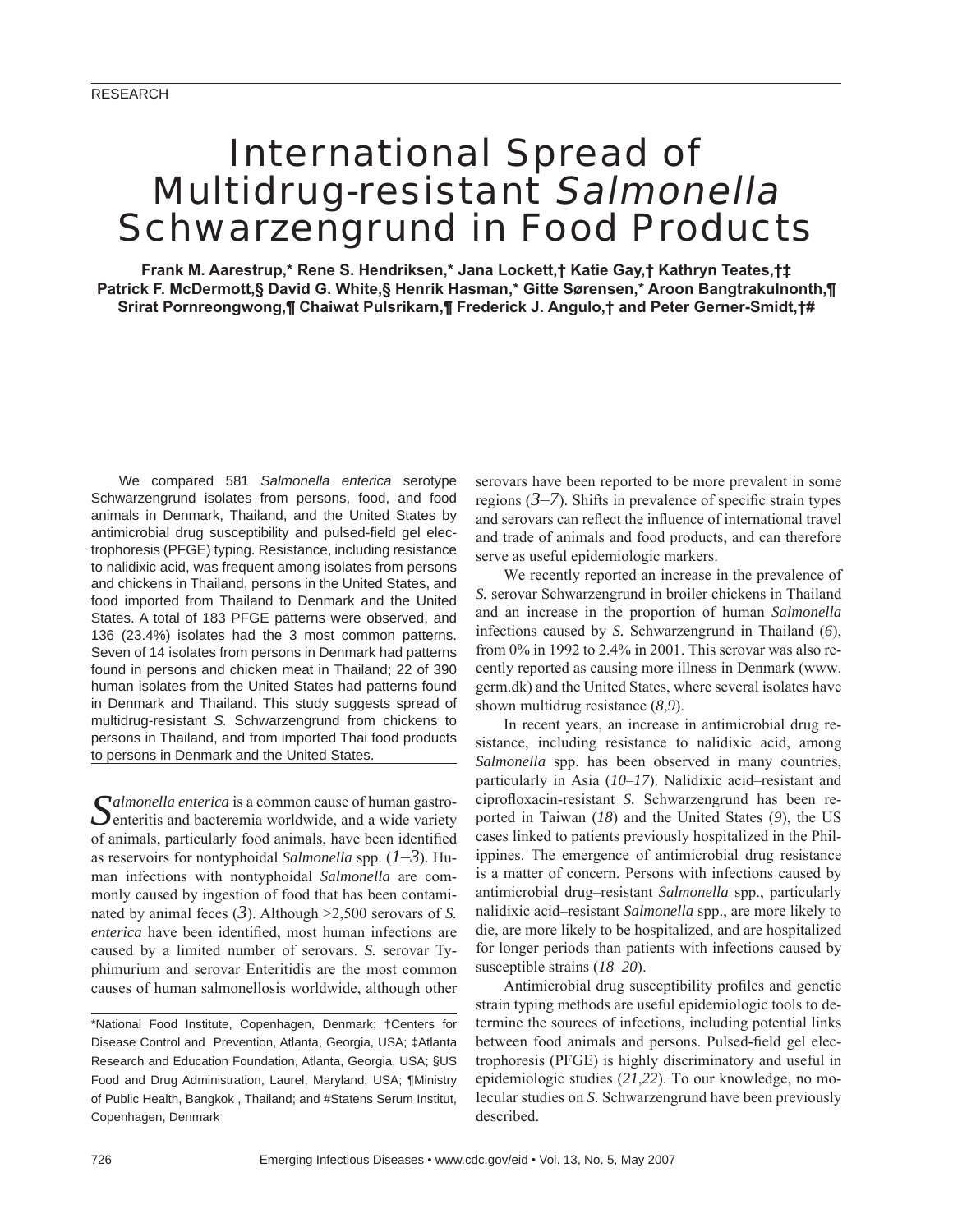# International Spread of Multidrug-resistant Salmonella Schwarzengrund in Food Products

**Frank M. Aarestrup,\* Rene S. Hendriksen,\* Jana Lockett,† Katie Gay,† Kathryn Teates,†‡ Patrick F. McDermott,§ David G. White,§ Henrik Hasman,\* Gitte Sørensen,\* Aroon Bangtrakulnonth,¶ Srirat Pornreongwong,¶ Chaiwat Pulsrikarn,¶ Frederick J. Angulo,† and Peter Gerner-Smidt,†#**

We compared 581 *Salmonella enterica* serotype Schwarzengrund isolates from persons, food, and food animals in Denmark, Thailand, and the United States by antimicrobial drug susceptibility and pulsed-field gel electrophoresis (PFGE) typing. Resistance, including resistance to nalidixic acid, was frequent among isolates from persons and chickens in Thailand, persons in the United States, and food imported from Thailand to Denmark and the United States. A total of 183 PFGE patterns were observed, and 136 (23.4%) isolates had the 3 most common patterns. Seven of 14 isolates from persons in Denmark had patterns found in persons and chicken meat in Thailand; 22 of 390 human isolates from the United States had patterns found in Denmark and Thailand. This study suggests spread of multidrug-resistant *S.* Schwarzengrund from chickens to persons in Thailand, and from imported Thai food products to persons in Denmark and the United States.

Salmonella enterica is a common cause of human gastro-<br>enteritis and bacteremia worldwide, and a wide variety of animals, particularly food animals, have been identified as reservoirs for nontyphoidal *Salmonella* spp.  $(1-3)$ . Human infections with nontyphoidal *Salmonella* are commonly caused by ingestion of food that has been contaminated by animal feces  $(3)$ . Although  $\geq 2,500$  serovars of *S*. *enterica* have been identified, most human infections are caused by a limited number of serovars. *S.* serovar Typhimurium and serovar Enteritidis are the most common causes of human salmonellosis worldwide, although other

serovars have been reported to be more prevalent in some regions  $(3–7)$ . Shifts in prevalence of specific strain types and serovars can reflect the influence of international travel and trade of animals and food products, and can therefore serve as useful epidemiologic markers.

We recently reported an increase in the prevalence of *S.* serovar Schwarzengrund in broiler chickens in Thailand and an increase in the proportion of human *Salmonella* infections caused by *S.* Schwarzengrund in Thailand (*6*), from 0% in 1992 to 2.4% in 2001. This serovar was also recently reported as causing more illness in Denmark (www. germ.dk) and the United States, where several isolates have shown multidrug resistance (*8*,*9*).

In recent years, an increase in antimicrobial drug resistance, including resistance to nalidixic acid, among *Salmonella* spp. has been observed in many countries, particularly in Asia (*10*–*17*). Nalidixic acid–resistant and ciprofloxacin-resistant *S*. Schwarzengrund has been reported in Taiwan (*18*) and the United States (*9*), the US cases linked to patients previously hospitalized in the Philippines. The emergence of antimicrobial drug resistance is a matter of concern. Persons with infections caused by antimicrobial drug–resistant *Salmonella* spp., particularly nalidixic acid–resistant *Salmonella* spp., are more likely to die, are more likely to be hospitalized, and are hospitalized for longer periods than patients with infections caused by susceptible strains (*18*–*20*).

Antimicrobial drug susceptibility profiles and genetic strain typing methods are useful epidemiologic tools to determine the sources of infections, including potential links between food animals and persons. Pulsed-field gel electrophoresis (PFGE) is highly discriminatory and useful in epidemiologic studies (*21*,*22*). To our knowledge, no molecular studies on *S.* Schwarzengrund have been previously described.

<sup>\*</sup>National Food Institute, Copenhagen, Denmark; †Centers for Disease Control and Prevention, Atlanta, Georgia, USA; ‡Atlanta Research and Education Foundation, Atlanta, Georgia, USA; §US Food and Drug Administration, Laurel, Maryland, USA; ¶Ministry of Public Health, Bangkok , Thailand; and #Statens Serum Institut, Copenhagen, Denmark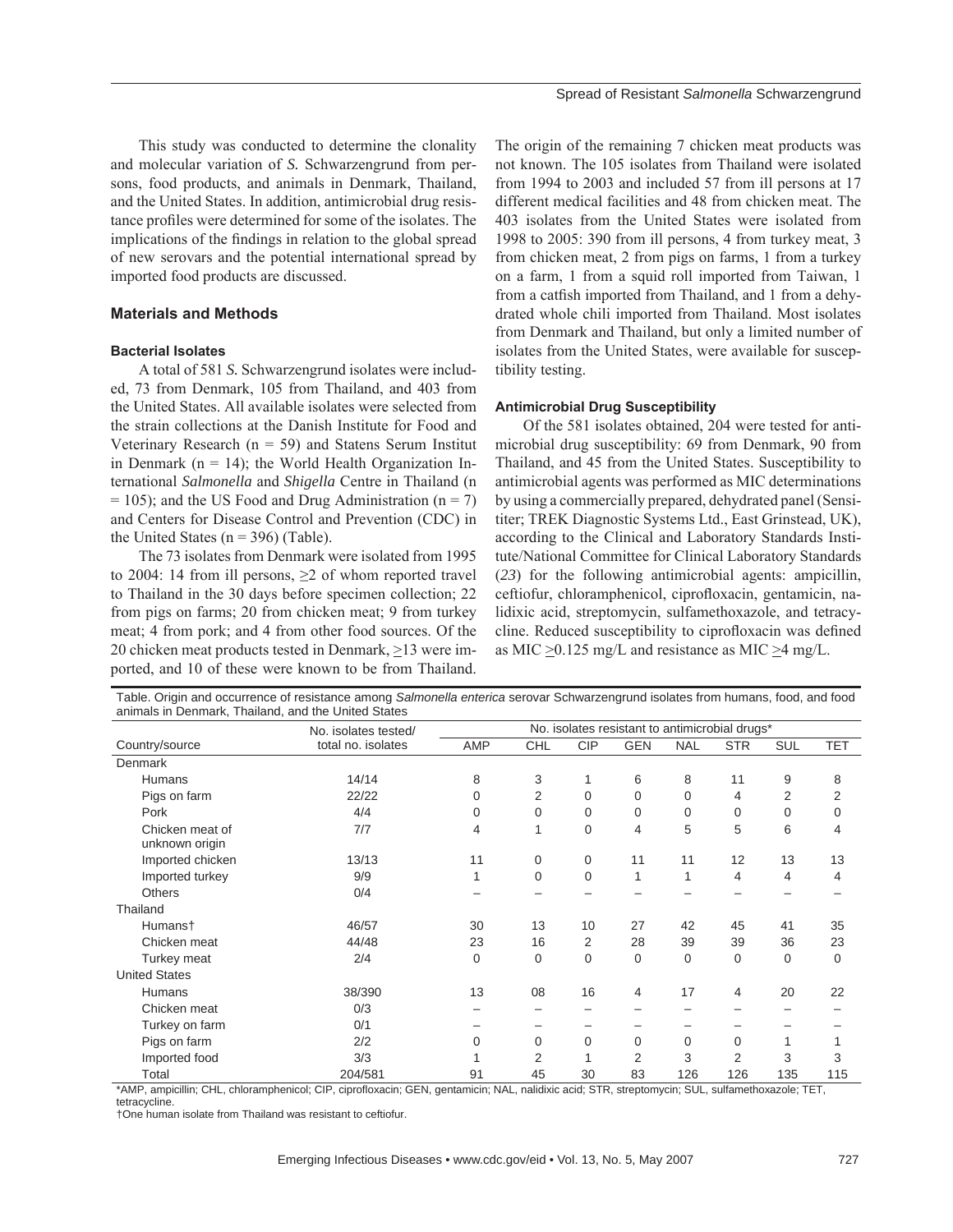This study was conducted to determine the clonality and molecular variation of *S.* Schwarzengrund from persons, food products, and animals in Denmark, Thailand, and the United States. In addition, antimicrobial drug resistance profiles were determined for some of the isolates. The implications of the findings in relation to the global spread of new serovars and the potential international spread by imported food products are discussed.

# **Materials and Methods**

# **Bacterial Isolates**

A total of 581 *S.* Schwarzengrund isolates were included, 73 from Denmark, 105 from Thailand, and 403 from the United States. All available isolates were selected from the strain collections at the Danish Institute for Food and Veterinary Research ( $n = 59$ ) and Statens Serum Institut in Denmark ( $n = 14$ ); the World Health Organization International *Salmonella* and *Shigella* Centre in Thailand (n  $= 105$ ); and the US Food and Drug Administration (n = 7) and Centers for Disease Control and Prevention (CDC) in the United States ( $n = 396$ ) (Table).

The 73 isolates from Denmark were isolated from 1995 to 2004: 14 from ill persons,  $\geq 2$  of whom reported travel to Thailand in the 30 days before specimen collection; 22 from pigs on farms; 20 from chicken meat; 9 from turkey meat; 4 from pork; and 4 from other food sources. Of the 20 chicken meat products tested in Denmark, >13 were imported, and 10 of these were known to be from Thailand.

The origin of the remaining 7 chicken meat products was not known. The 105 isolates from Thailand were isolated from 1994 to 2003 and included 57 from ill persons at 17 different medical facilities and 48 from chicken meat. The 403 isolates from the United States were isolated from 1998 to 2005: 390 from ill persons, 4 from turkey meat, 3 from chicken meat, 2 from pigs on farms, 1 from a turkey on a farm, 1 from a squid roll imported from Taiwan, 1 from a catfish imported from Thailand, and 1 from a dehydrated whole chili imported from Thailand. Most isolates from Denmark and Thailand, but only a limited number of isolates from the United States, were available for susceptibility testing.

#### **Antimicrobial Drug Susceptibility**

Of the 581 isolates obtained, 204 were tested for antimicrobial drug susceptibility: 69 from Denmark, 90 from Thailand, and 45 from the United States. Susceptibility to antimicrobial agents was performed as MIC determinations by using a commercially prepared, dehydrated panel (Sensititer; TREK Diagnostic Systems Ltd., East Grinstead, UK), according to the Clinical and Laboratory Standards Institute/National Committee for Clinical Laboratory Standards (*23*) for the following antimicrobial agents: ampicillin, ceftiofur, chloramphenicol, ciprofloxacin, gentamicin, nalidixic acid, streptomycin, sulfamethoxazole, and tetracycline. Reduced susceptibility to ciprofloxacin was defined as MIC  $\geq$ 0.125 mg/L and resistance as MIC  $\geq$ 4 mg/L.

| animals in Denmark, Thailand, and the United States | No. isolates tested/<br>total no. isolates | No. isolates resistant to antimicrobial drugs* |             |             |                |            |             |            |             |
|-----------------------------------------------------|--------------------------------------------|------------------------------------------------|-------------|-------------|----------------|------------|-------------|------------|-------------|
| Country/source                                      |                                            | AMP                                            | CHL         | <b>CIP</b>  | <b>GEN</b>     | <b>NAL</b> | <b>STR</b>  | <b>SUL</b> | <b>TET</b>  |
| Denmark                                             |                                            |                                                |             |             |                |            |             |            |             |
| <b>Humans</b>                                       | 14/14                                      | 8                                              | 3           |             | 6              | 8          | 11          | 9          | 8           |
| Pigs on farm                                        | 22/22                                      | 0                                              | 2           | $\Omega$    | $\mathbf{0}$   | 0          | 4           | 2          | 2           |
| Pork                                                | 4/4                                        | $\mathbf 0$                                    | $\Omega$    | $\Omega$    | $\mathbf{0}$   | $\Omega$   | 0           | $\Omega$   | $\mathbf 0$ |
| Chicken meat of<br>unknown origin                   | 7/7                                        | 4                                              | 1           | $\Omega$    | 4              | 5          | 5           | 6          | 4           |
| Imported chicken                                    | 13/13                                      | 11                                             | 0           | $\mathbf 0$ | 11             | 11         | 12          | 13         | 13          |
| Imported turkey                                     | 9/9                                        | 1                                              | $\mathbf 0$ | $\Omega$    | 1              | 1          | 4           | 4          | 4           |
| <b>Others</b>                                       | 0/4                                        |                                                |             |             |                |            |             |            |             |
| Thailand                                            |                                            |                                                |             |             |                |            |             |            |             |
| Humanst                                             | 46/57                                      | 30                                             | 13          | 10          | 27             | 42         | 45          | 41         | 35          |
| Chicken meat                                        | 44/48                                      | 23                                             | 16          | 2           | 28             | 39         | 39          | 36         | 23          |
| Turkey meat                                         | 2/4                                        | $\mathbf 0$                                    | $\mathbf 0$ | $\Omega$    | $\mathbf 0$    | $\Omega$   | $\mathbf 0$ | $\Omega$   | $\mathbf 0$ |
| <b>United States</b>                                |                                            |                                                |             |             |                |            |             |            |             |
| <b>Humans</b>                                       | 38/390                                     | 13                                             | 08          | 16          | $\overline{4}$ | 17         | 4           | 20         | 22          |
| Chicken meat                                        | 0/3                                        |                                                |             |             |                |            |             |            |             |
| Turkey on farm                                      | 0/1                                        |                                                |             |             |                |            |             |            |             |
| Pigs on farm                                        | 2/2                                        | 0                                              | $\Omega$    | 0           | $\mathbf 0$    | 0          | 0           |            |             |
| Imported food                                       | 3/3                                        |                                                | 2           |             | 2              | 3          | 2           | 3          | 3           |
| Total                                               | 204/581                                    | 91                                             | 45          | 30          | 83             | 126        | 126         | 135        | 115         |

Table. Origin and occurrence of resistance among *Salmonella enterica* serovar Schwarzengrund isolates from humans, food, and food

\*AMP, ampicillin; CHL, chloramphenicol; CIP, ciprofloxacin; GEN, gentamicin; NAL, nalidixic acid; STR, streptomycin; SUL, sulfamethoxazole; TET, tetracycline.

†One human isolate from Thailand was resistant to ceftiofur.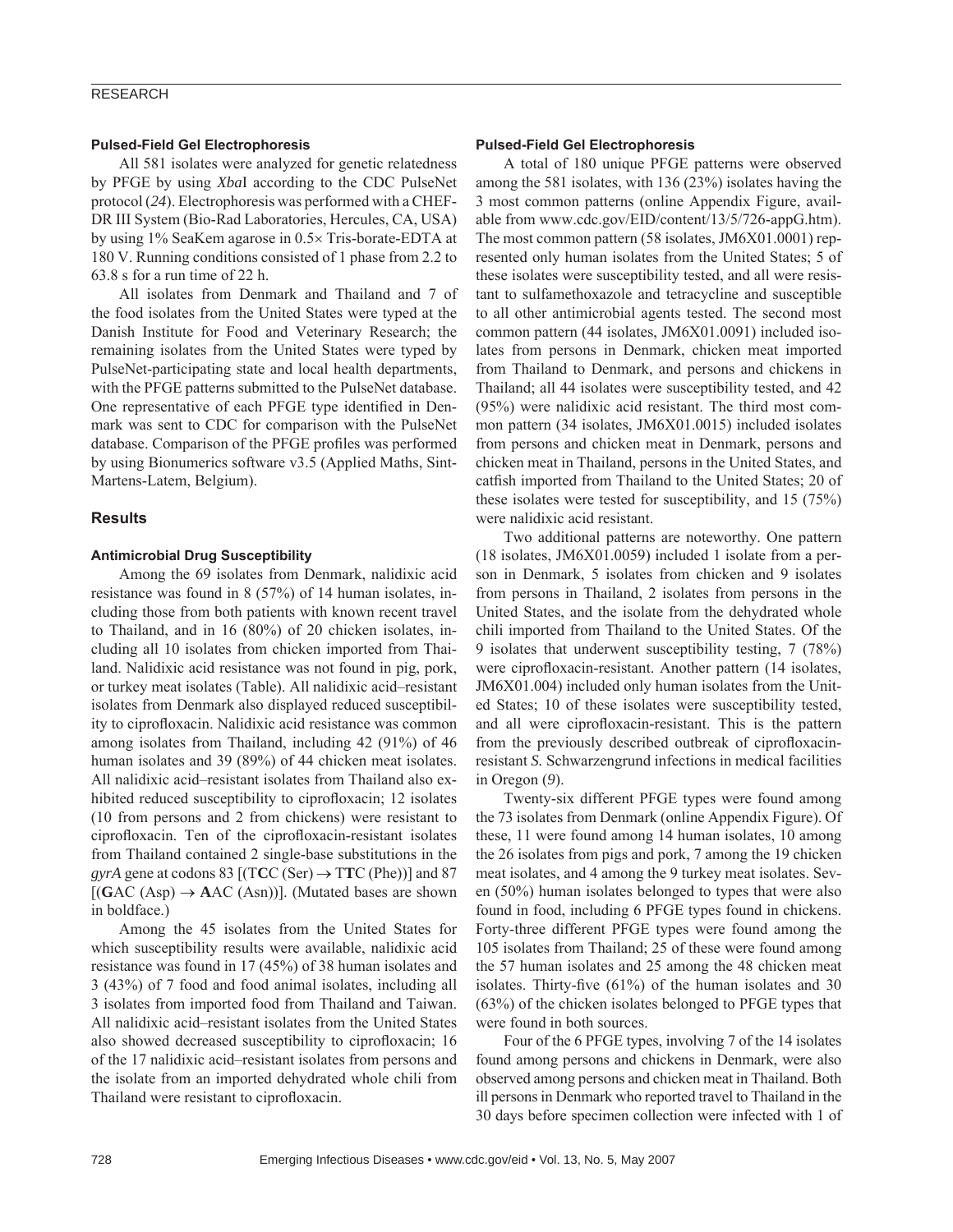## RESEARCH

#### **Pulsed-Field Gel Electrophoresis**

All 581 isolates were analyzed for genetic relatedness by PFGE by using *Xba*I according to the CDC PulseNet protocol (*24*). Electrophoresis was performed with a CHEF-DR III System (Bio-Rad Laboratories, Hercules, CA, USA) by using 1% SeaKem agarose in 0.5× Tris-borate-EDTA at 180 V. Running conditions consisted of 1 phase from 2.2 to 63.8 s for a run time of 22 h.

All isolates from Denmark and Thailand and 7 of the food isolates from the United States were typed at the Danish Institute for Food and Veterinary Research; the remaining isolates from the United States were typed by PulseNet-participating state and local health departments, with the PFGE patterns submitted to the PulseNet database. One representative of each PFGE type identified in Denmark was sent to CDC for comparison with the PulseNet database. Comparison of the PFGE profiles was performed by using Bionumerics software v3.5 (Applied Maths, Sint-Martens-Latem, Belgium).

#### **Results**

#### **Antimicrobial Drug Susceptibility**

Among the 69 isolates from Denmark, nalidixic acid resistance was found in 8 (57%) of 14 human isolates, including those from both patients with known recent travel to Thailand, and in 16 (80%) of 20 chicken isolates, including all 10 isolates from chicken imported from Thailand. Nalidixic acid resistance was not found in pig, pork, or turkey meat isolates (Table). All nalidixic acid–resistant isolates from Denmark also displayed reduced susceptibility to ciprofloxacin. Nalidixic acid resistance was common among isolates from Thailand, including 42 (91%) of 46 human isolates and 39 (89%) of 44 chicken meat isolates. All nalidixic acid–resistant isolates from Thailand also exhibited reduced susceptibility to ciprofloxacin; 12 isolates (10 from persons and 2 from chickens) were resistant to ciprofloxacin. Ten of the ciprofloxacin-resistant isolates from Thailand contained 2 single-base substitutions in the *gyrA* gene at codons 83 [(TCC (Ser)  $\rightarrow$  TTC (Phe))] and 87  $[(GAC (Asp) \rightarrow AAC (Asn))]$ . (Mutated bases are shown in boldface.)

Among the 45 isolates from the United States for which susceptibility results were available, nalidixic acid resistance was found in 17 (45%) of 38 human isolates and 3 (43%) of 7 food and food animal isolates, including all 3 isolates from imported food from Thailand and Taiwan. All nalidixic acid–resistant isolates from the United States also showed decreased susceptibility to ciprofloxacin; 16 of the 17 nalidixic acid–resistant isolates from persons and the isolate from an imported dehydrated whole chili from Thailand were resistant to ciprofloxacin.

#### **Pulsed-Field Gel Electrophoresis**

A total of 180 unique PFGE patterns were observed among the 581 isolates, with 136 (23%) isolates having the 3 most common patterns (online Appendix Figure, available from www.cdc.gov/EID/content/13/5/726-appG.htm). The most common pattern (58 isolates, JM6X01.0001) represented only human isolates from the United States; 5 of these isolates were susceptibility tested, and all were resistant to sulfamethoxazole and tetracycline and susceptible to all other antimicrobial agents tested. The second most common pattern (44 isolates, JM6X01.0091) included isolates from persons in Denmark, chicken meat imported from Thailand to Denmark, and persons and chickens in Thailand; all 44 isolates were susceptibility tested, and 42 (95%) were nalidixic acid resistant. The third most common pattern (34 isolates, JM6X01.0015) included isolates from persons and chicken meat in Denmark, persons and chicken meat in Thailand, persons in the United States, and catfish imported from Thailand to the United States; 20 of these isolates were tested for susceptibility, and 15 (75%) were nalidixic acid resistant.

Two additional patterns are noteworthy. One pattern (18 isolates, JM6X01.0059) included 1 isolate from a person in Denmark, 5 isolates from chicken and 9 isolates from persons in Thailand, 2 isolates from persons in the United States, and the isolate from the dehydrated whole chili imported from Thailand to the United States. Of the 9 isolates that underwent susceptibility testing, 7 (78%) were ciprofloxacin-resistant. Another pattern (14 isolates, JM6X01.004) included only human isolates from the United States; 10 of these isolates were susceptibility tested, and all were ciprofloxacin-resistant. This is the pattern from the previously described outbreak of ciprofloxacinresistant *S.* Schwarzengrund infections in medical facilities in Oregon (*9*).

Twenty-six different PFGE types were found among the 73 isolates from Denmark (online Appendix Figure). Of these, 11 were found among 14 human isolates, 10 among the 26 isolates from pigs and pork, 7 among the 19 chicken meat isolates, and 4 among the 9 turkey meat isolates. Seven (50%) human isolates belonged to types that were also found in food, including 6 PFGE types found in chickens. Forty-three different PFGE types were found among the 105 isolates from Thailand; 25 of these were found among the 57 human isolates and 25 among the 48 chicken meat isolates. Thirty-five  $(61\%)$  of the human isolates and 30 (63%) of the chicken isolates belonged to PFGE types that were found in both sources.

Four of the 6 PFGE types, involving 7 of the 14 isolates found among persons and chickens in Denmark, were also observed among persons and chicken meat in Thailand. Both ill persons in Denmark who reported travel to Thailand in the 30 days before specimen collection were infected with 1 of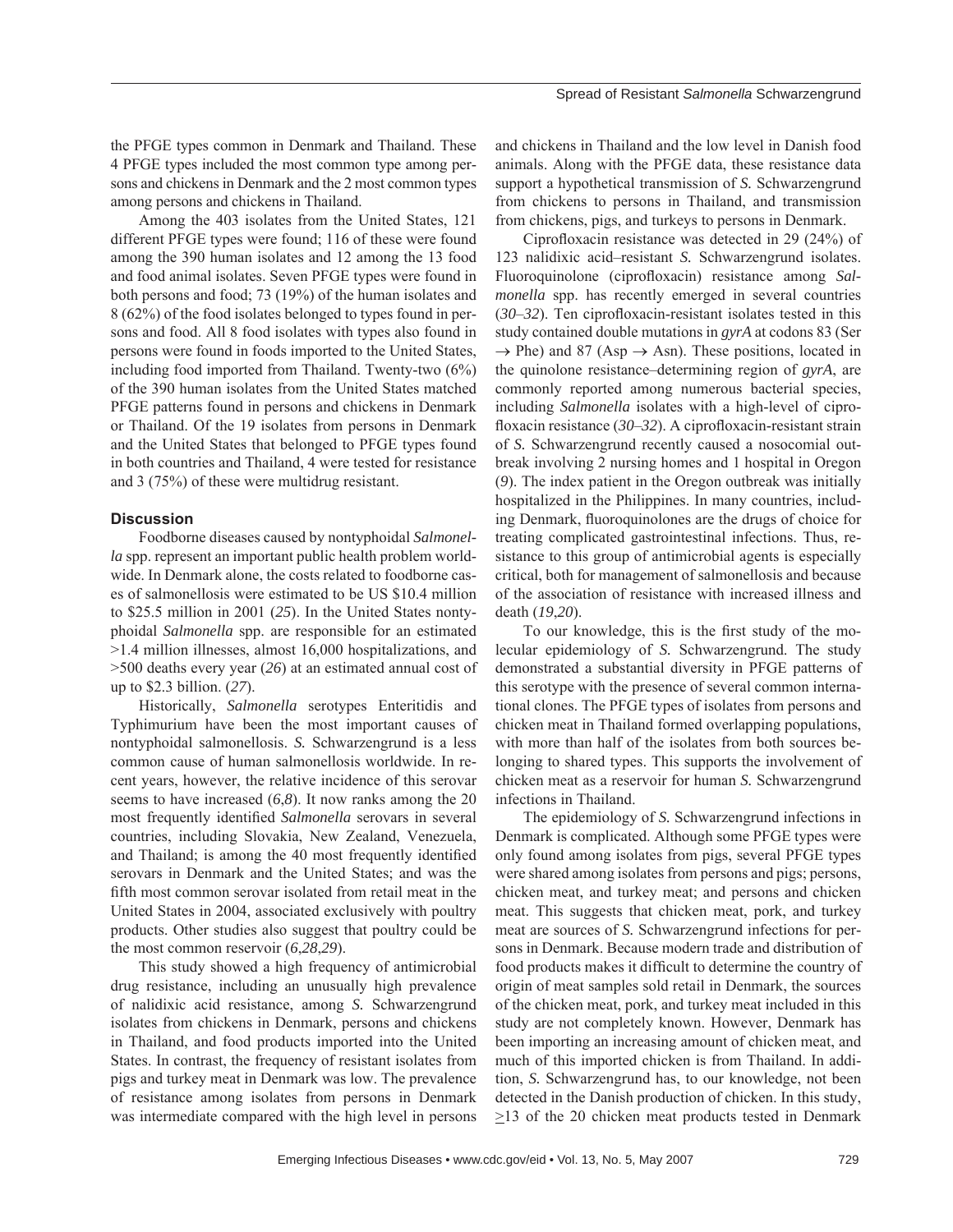the PFGE types common in Denmark and Thailand. These 4 PFGE types included the most common type among persons and chickens in Denmark and the 2 most common types among persons and chickens in Thailand.

Among the 403 isolates from the United States, 121 different PFGE types were found; 116 of these were found among the 390 human isolates and 12 among the 13 food and food animal isolates. Seven PFGE types were found in both persons and food; 73 (19%) of the human isolates and 8 (62%) of the food isolates belonged to types found in persons and food. All 8 food isolates with types also found in persons were found in foods imported to the United States, including food imported from Thailand. Twenty-two (6%) of the 390 human isolates from the United States matched PFGE patterns found in persons and chickens in Denmark or Thailand. Of the 19 isolates from persons in Denmark and the United States that belonged to PFGE types found in both countries and Thailand, 4 were tested for resistance and 3 (75%) of these were multidrug resistant.

#### **Discussion**

Foodborne diseases caused by nontyphoidal *Salmonella* spp. represent an important public health problem worldwide. In Denmark alone, the costs related to foodborne cases of salmonellosis were estimated to be US \$10.4 million to \$25.5 million in 2001 (*25*). In the United States nontyphoidal *Salmonella* spp. are responsible for an estimated >1.4 million illnesses, almost 16,000 hospitalizations, and >500 deaths every year (*26*) at an estimated annual cost of up to \$2.3 billion. (*27*).

Historically, *Salmonella* serotypes Enteritidis and Typhimurium have been the most important causes of nontyphoidal salmonellosis. *S.* Schwarzengrund is a less common cause of human salmonellosis worldwide. In recent years, however, the relative incidence of this serovar seems to have increased (*6*,*8*). It now ranks among the 20 most frequently identified *Salmonella* serovars in several countries, including Slovakia, New Zealand, Venezuela, and Thailand; is among the 40 most frequently identified serovars in Denmark and the United States; and was the fifth most common serovar isolated from retail meat in the United States in 2004, associated exclusively with poultry products. Other studies also suggest that poultry could be the most common reservoir (*6*,*28*,*29*).

This study showed a high frequency of antimicrobial drug resistance, including an unusually high prevalence of nalidixic acid resistance, among *S.* Schwarzengrund isolates from chickens in Denmark, persons and chickens in Thailand, and food products imported into the United States. In contrast, the frequency of resistant isolates from pigs and turkey meat in Denmark was low. The prevalence of resistance among isolates from persons in Denmark was intermediate compared with the high level in persons and chickens in Thailand and the low level in Danish food animals. Along with the PFGE data, these resistance data support a hypothetical transmission of *S.* Schwarzengrund from chickens to persons in Thailand, and transmission from chickens, pigs, and turkeys to persons in Denmark.

Ciprofloxacin resistance was detected in 29 (24%) of 123 nalidixic acid–resistant *S.* Schwarzengrund isolates. Fluoroquinolone (ciprofloxacin) resistance among *Salmonella* spp. has recently emerged in several countries  $(30-32)$ . Ten ciprofloxacin-resistant isolates tested in this study contained double mutations in *gyrA* at codons 83 (Ser  $\rightarrow$  Phe) and 87 (Asp  $\rightarrow$  Asn). These positions, located in the quinolone resistance–determining region of *gyrA*, are commonly reported among numerous bacterial species, including *Salmonella* isolates with a high-level of ciprofloxacin resistance (30–32). A ciprofloxacin-resistant strain of *S.* Schwarzengrund recently caused a nosocomial outbreak involving 2 nursing homes and 1 hospital in Oregon (*9*). The index patient in the Oregon outbreak was initially hospitalized in the Philippines. In many countries, including Denmark, fluoroquinolones are the drugs of choice for treating complicated gastrointestinal infections. Thus, resistance to this group of antimicrobial agents is especially critical, both for management of salmonellosis and because of the association of resistance with increased illness and death (*19*,*20*).

To our knowledge, this is the first study of the molecular epidemiology of *S.* Schwarzengrund. The study demonstrated a substantial diversity in PFGE patterns of this serotype with the presence of several common international clones. The PFGE types of isolates from persons and chicken meat in Thailand formed overlapping populations, with more than half of the isolates from both sources belonging to shared types. This supports the involvement of chicken meat as a reservoir for human *S.* Schwarzengrund infections in Thailand.

The epidemiology of *S.* Schwarzengrund infections in Denmark is complicated. Although some PFGE types were only found among isolates from pigs, several PFGE types were shared among isolates from persons and pigs; persons, chicken meat, and turkey meat; and persons and chicken meat. This suggests that chicken meat, pork, and turkey meat are sources of *S.* Schwarzengrund infections for persons in Denmark. Because modern trade and distribution of food products makes it difficult to determine the country of origin of meat samples sold retail in Denmark, the sources of the chicken meat, pork, and turkey meat included in this study are not completely known. However, Denmark has been importing an increasing amount of chicken meat, and much of this imported chicken is from Thailand. In addition, *S.* Schwarzengrund has, to our knowledge, not been detected in the Danish production of chicken. In this study, >13 of the 20 chicken meat products tested in Denmark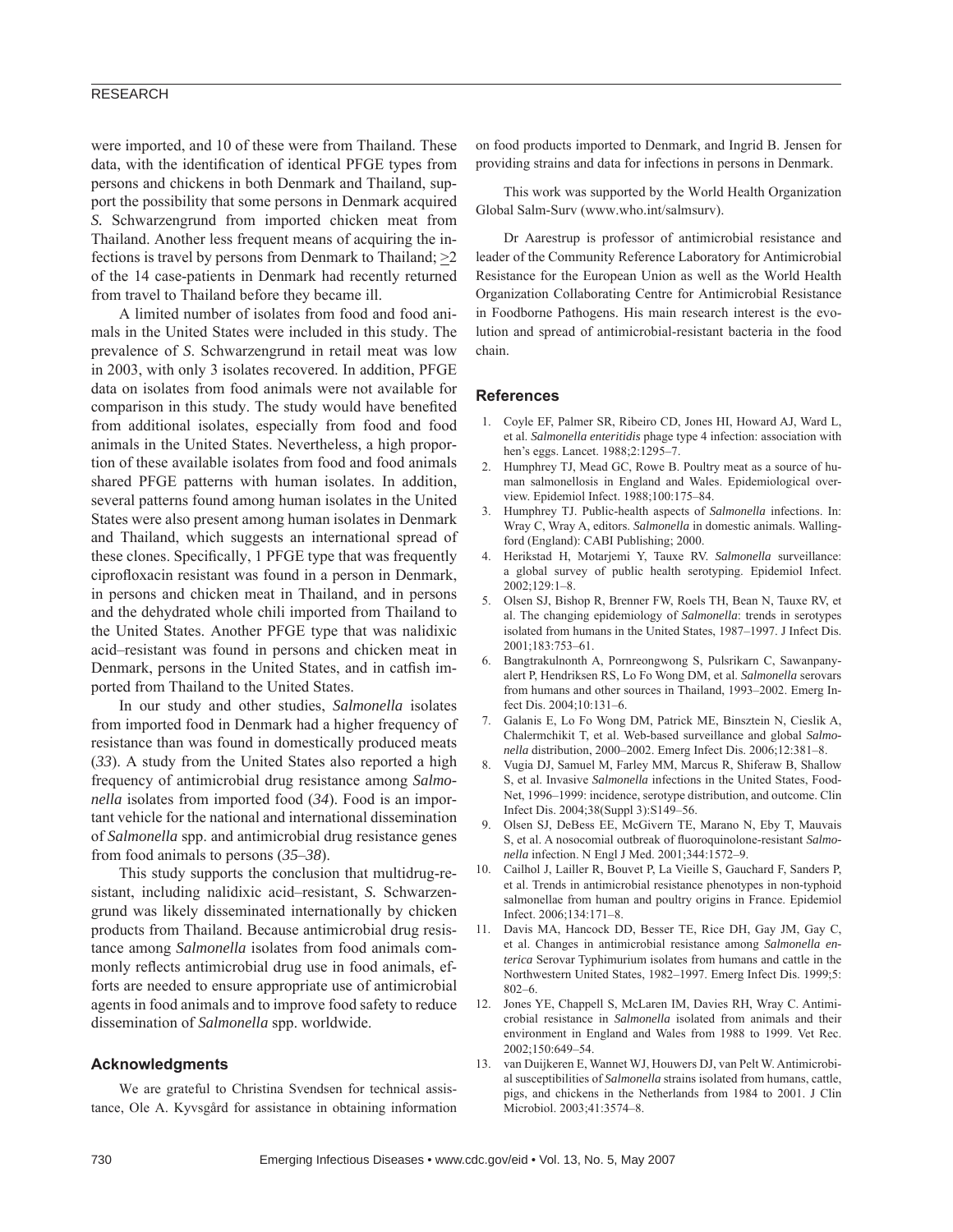# RESEARCH

were imported, and 10 of these were from Thailand. These data, with the identification of identical PFGE types from persons and chickens in both Denmark and Thailand, support the possibility that some persons in Denmark acquired *S.* Schwarzengrund from imported chicken meat from Thailand. Another less frequent means of acquiring the infections is travel by persons from Denmark to Thailand;  $\geq 2$ of the 14 case-patients in Denmark had recently returned from travel to Thailand before they became ill.

A limited number of isolates from food and food animals in the United States were included in this study. The prevalence of *S*. Schwarzengrund in retail meat was low in 2003, with only 3 isolates recovered. In addition, PFGE data on isolates from food animals were not available for comparison in this study. The study would have benefited from additional isolates, especially from food and food animals in the United States. Nevertheless, a high proportion of these available isolates from food and food animals shared PFGE patterns with human isolates. In addition, several patterns found among human isolates in the United States were also present among human isolates in Denmark and Thailand, which suggests an international spread of these clones. Specifically, 1 PFGE type that was frequently ciprofloxacin resistant was found in a person in Denmark, in persons and chicken meat in Thailand, and in persons and the dehydrated whole chili imported from Thailand to the United States. Another PFGE type that was nalidixic acid–resistant was found in persons and chicken meat in Denmark, persons in the United States, and in catfish imported from Thailand to the United States.

In our study and other studies, *Salmonella* isolates from imported food in Denmark had a higher frequency of resistance than was found in domestically produced meats (*33*). A study from the United States also reported a high frequency of antimicrobial drug resistance among *Salmonella* isolates from imported food (*34*). Food is an important vehicle for the national and international dissemination of *Salmonella* spp. and antimicrobial drug resistance genes from food animals to persons (*35*–*38*).

This study supports the conclusion that multidrug-resistant, including nalidixic acid–resistant, *S.* Schwarzengrund was likely disseminated internationally by chicken products from Thailand. Because antimicrobial drug resistance among *Salmonella* isolates from food animals commonly reflects antimicrobial drug use in food animals, efforts are needed to ensure appropriate use of antimicrobial agents in food animals and to improve food safety to reduce dissemination of *Salmonella* spp. worldwide.

#### **Acknowledgments**

We are grateful to Christina Svendsen for technical assistance, Ole A. Kyvsgård for assistance in obtaining information on food products imported to Denmark, and Ingrid B. Jensen for providing strains and data for infections in persons in Denmark.

This work was supported by the World Health Organization Global Salm-Surv (www.who.int/salmsurv).

Dr Aarestrup is professor of antimicrobial resistance and leader of the Community Reference Laboratory for Antimicrobial Resistance for the European Union as well as the World Health Organization Collaborating Centre for Antimicrobial Resistance in Foodborne Pathogens. His main research interest is the evolution and spread of antimicrobial-resistant bacteria in the food chain.

#### **References**

- 1. Coyle EF, Palmer SR, Ribeiro CD, Jones HI, Howard AJ, Ward L, et al. *Salmonella enteritidis* phage type 4 infection: association with hen's eggs. Lancet. 1988;2:1295–7.
- 2. Humphrey TJ, Mead GC, Rowe B. Poultry meat as a source of human salmonellosis in England and Wales. Epidemiological overview. Epidemiol Infect. 1988;100:175–84.
- 3. Humphrey TJ. Public-health aspects of *Salmonella* infections. In: Wray C, Wray A, editors. *Salmonella* in domestic animals. Wallingford (England): CABI Publishing; 2000.
- 4. Herikstad H, Motarjemi Y, Tauxe RV. *Salmonella* surveillance: a global survey of public health serotyping. Epidemiol Infect. 2002;129:1–8.
- 5. Olsen SJ, Bishop R, Brenner FW, Roels TH, Bean N, Tauxe RV, et al. The changing epidemiology of *Salmonella*: trends in serotypes isolated from humans in the United States, 1987–1997. J Infect Dis. 2001;183:753–61.
- 6. Bangtrakulnonth A, Pornreongwong S, Pulsrikarn C, Sawanpanyalert P, Hendriksen RS, Lo Fo Wong DM, et al. *Salmonella* serovars from humans and other sources in Thailand, 1993–2002. Emerg Infect Dis. 2004;10:131–6.
- 7. Galanis E, Lo Fo Wong DM, Patrick ME, Binsztein N, Cieslik A, Chalermchikit T, et al. Web-based surveillance and global *Salmonella* distribution, 2000–2002. Emerg Infect Dis. 2006;12:381–8.
- 8. Vugia DJ, Samuel M, Farley MM, Marcus R, Shiferaw B, Shallow S, et al. Invasive *Salmonella* infections in the United States, Food-Net, 1996–1999: incidence, serotype distribution, and outcome. Clin Infect Dis. 2004;38(Suppl 3):S149–56.
- 9. Olsen SJ, DeBess EE, McGivern TE, Marano N, Eby T, Mauvais S, et al. A nosocomial outbreak of fluoroquinolone-resistant *Salmonella* infection. N Engl J Med. 2001;344:1572–9.
- 10. Cailhol J, Lailler R, Bouvet P, La Vieille S, Gauchard F, Sanders P, et al. Trends in antimicrobial resistance phenotypes in non-typhoid salmonellae from human and poultry origins in France. Epidemiol Infect. 2006;134:171–8.
- 11. Davis MA, Hancock DD, Besser TE, Rice DH, Gay JM, Gay C, et al. Changes in antimicrobial resistance among *Salmonella enterica* Serovar Typhimurium isolates from humans and cattle in the Northwestern United States, 1982–1997. Emerg Infect Dis. 1999;5: 802–6.
- 12. Jones YE, Chappell S, McLaren IM, Davies RH, Wray C. Antimicrobial resistance in *Salmonella* isolated from animals and their environment in England and Wales from 1988 to 1999. Vet Rec. 2002;150:649–54.
- 13. van Duijkeren E, Wannet WJ, Houwers DJ, van Pelt W. Antimicrobial susceptibilities of *Salmonella* strains isolated from humans, cattle, pigs, and chickens in the Netherlands from 1984 to 2001. J Clin Microbiol. 2003;41:3574–8.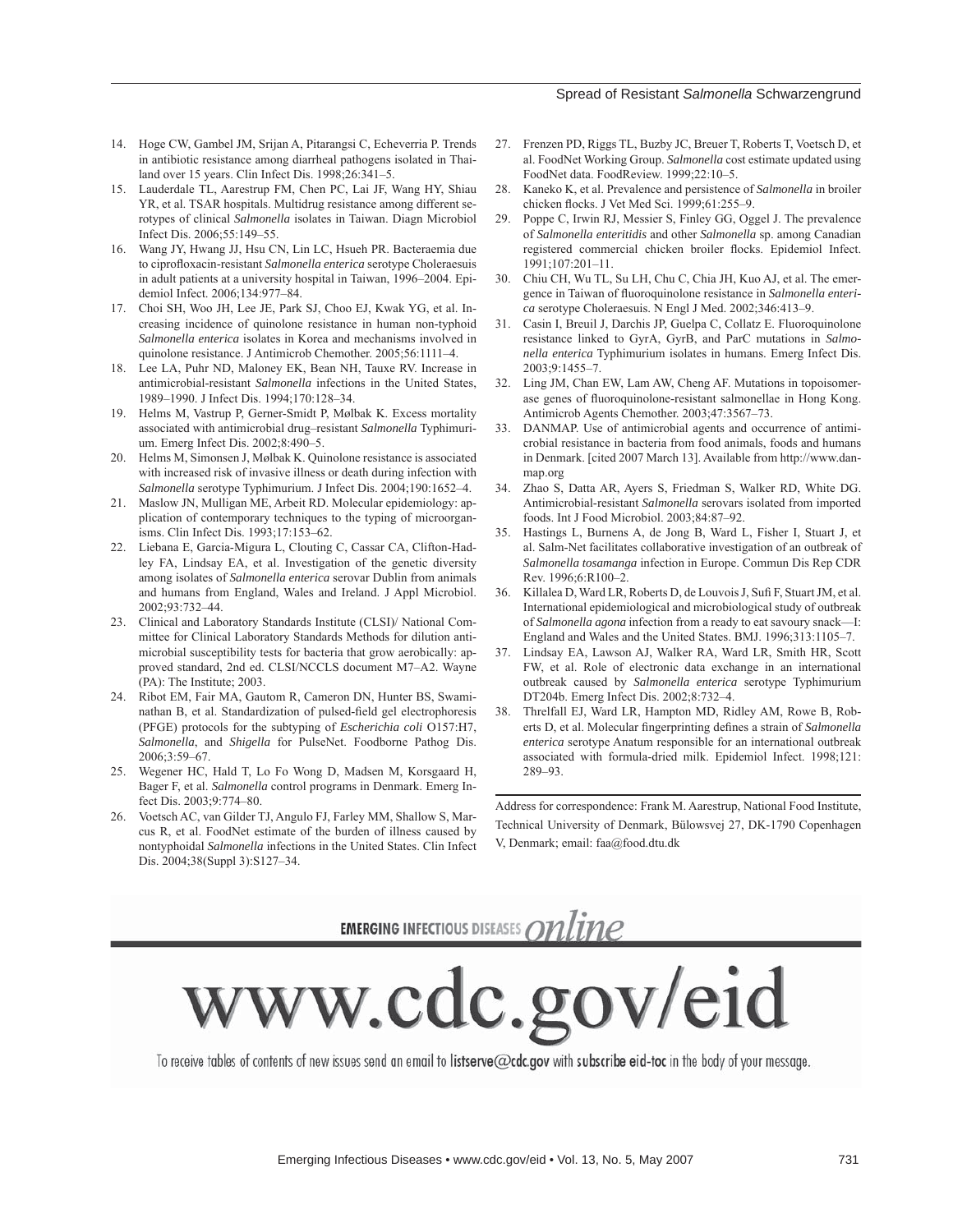#### Spread of Resistant *Salmonella* Schwarzengrund

- 14. Hoge CW, Gambel JM, Srijan A, Pitarangsi C, Echeverria P. Trends in antibiotic resistance among diarrheal pathogens isolated in Thailand over 15 years. Clin Infect Dis. 1998;26:341–5.
- 15. Lauderdale TL, Aarestrup FM, Chen PC, Lai JF, Wang HY, Shiau YR, et al. TSAR hospitals. Multidrug resistance among different serotypes of clinical *Salmonella* isolates in Taiwan. Diagn Microbiol Infect Dis. 2006;55:149–55.
- 16. Wang JY, Hwang JJ, Hsu CN, Lin LC, Hsueh PR. Bacteraemia due to ciprofloxacin-resistant *Salmonella enterica* serotype Choleraesuis in adult patients at a university hospital in Taiwan, 1996–2004. Epidemiol Infect. 2006;134:977–84.
- 17. Choi SH, Woo JH, Lee JE, Park SJ, Choo EJ, Kwak YG, et al. Increasing incidence of quinolone resistance in human non-typhoid *Salmonella enterica* isolates in Korea and mechanisms involved in quinolone resistance. J Antimicrob Chemother. 2005;56:1111–4.
- 18. Lee LA, Puhr ND, Maloney EK, Bean NH, Tauxe RV. Increase in antimicrobial-resistant *Salmonella* infections in the United States, 1989–1990. J Infect Dis. 1994;170:128–34.
- 19. Helms M, Vastrup P, Gerner-Smidt P, Mølbak K. Excess mortality associated with antimicrobial drug–resistant *Salmonella* Typhimurium. Emerg Infect Dis. 2002;8:490–5.
- 20. Helms M, Simonsen J, Mølbak K. Quinolone resistance is associated with increased risk of invasive illness or death during infection with *Salmonella* serotype Typhimurium. J Infect Dis. 2004;190:1652–4.
- 21. Maslow JN, Mulligan ME, Arbeit RD. Molecular epidemiology: application of contemporary techniques to the typing of microorganisms. Clin Infect Dis. 1993;17:153–62.
- 22. Liebana E, Garcia-Migura L, Clouting C, Cassar CA, Clifton-Hadley FA, Lindsay EA, et al. Investigation of the genetic diversity among isolates of *Salmonella enterica* serovar Dublin from animals and humans from England, Wales and Ireland. J Appl Microbiol. 2002;93:732–44.
- 23. Clinical and Laboratory Standards Institute (CLSI)/ National Committee for Clinical Laboratory Standards Methods for dilution antimicrobial susceptibility tests for bacteria that grow aerobically: approved standard, 2nd ed. CLSI/NCCLS document M7–A2. Wayne (PA): The Institute; 2003.
- 24. Ribot EM, Fair MA, Gautom R, Cameron DN, Hunter BS, Swaminathan B, et al. Standardization of pulsed-field gel electrophoresis (PFGE) protocols for the subtyping of *Escherichia coli* O157:H7, *Salmonella*, and *Shigella* for PulseNet. Foodborne Pathog Dis. 2006;3:59–67.
- 25. Wegener HC, Hald T, Lo Fo Wong D, Madsen M, Korsgaard H, Bager F, et al. *Salmonella* control programs in Denmark. Emerg Infect Dis. 2003;9:774–80.
- 26. Voetsch AC, van Gilder TJ, Angulo FJ, Farley MM, Shallow S, Marcus R, et al. FoodNet estimate of the burden of illness caused by nontyphoidal *Salmonella* infections in the United States. Clin Infect Dis. 2004;38(Suppl 3):S127–34.
- 27. Frenzen PD, Riggs TL, Buzby JC, Breuer T, Roberts T, Voetsch D, et al. FoodNet Working Group. *Salmonella* cost estimate updated using FoodNet data. FoodReview. 1999;22:10–5.
- 28. Kaneko K, et al. Prevalence and persistence of *Salmonella* in broiler chicken flocks. J Vet Med Sci. 1999;61:255-9.
- 29. Poppe C, Irwin RJ, Messier S, Finley GG, Oggel J. The prevalence of *Salmonella enteritidis* and other *Salmonella* sp. among Canadian registered commercial chicken broiler flocks. Epidemiol Infect. 1991;107:201–11.
- 30. Chiu CH, Wu TL, Su LH, Chu C, Chia JH, Kuo AJ, et al. The emergence in Taiwan of fluoroquinolone resistance in *Salmonella enterica* serotype Choleraesuis. N Engl J Med. 2002;346:413–9.
- 31. Casin I, Breuil J, Darchis JP, Guelpa C, Collatz E. Fluoroquinolone resistance linked to GyrA, GyrB, and ParC mutations in *Salmonella enterica* Typhimurium isolates in humans. Emerg Infect Dis. 2003;9:1455–7.
- 32. Ling JM, Chan EW, Lam AW, Cheng AF. Mutations in topoisomerase genes of fluoroquinolone-resistant salmonellae in Hong Kong. Antimicrob Agents Chemother. 2003;47:3567–73.
- 33. DANMAP. Use of antimicrobial agents and occurrence of antimicrobial resistance in bacteria from food animals, foods and humans in Denmark. [cited 2007 March 13]. Available from http://www.danmap.org
- 34. Zhao S, Datta AR, Ayers S, Friedman S, Walker RD, White DG. Antimicrobial-resistant *Salmonella* serovars isolated from imported foods. Int J Food Microbiol. 2003;84:87–92.
- 35. Hastings L, Burnens A, de Jong B, Ward L, Fisher I, Stuart J, et al. Salm-Net facilitates collaborative investigation of an outbreak of *Salmonella tosamanga* infection in Europe. Commun Dis Rep CDR Rev. 1996;6:R100–2.
- 36. Killalea D, Ward LR, Roberts D, de Louvois J, Sufi F, Stuart JM, et al. International epidemiological and microbiological study of outbreak of *Salmonella agona* infection from a ready to eat savoury snack—I: England and Wales and the United States. BMJ. 1996;313:1105–7.
- 37. Lindsay EA, Lawson AJ, Walker RA, Ward LR, Smith HR, Scott FW, et al. Role of electronic data exchange in an international outbreak caused by *Salmonella enterica* serotype Typhimurium DT204b. Emerg Infect Dis. 2002;8:732–4.
- 38. Threlfall EJ, Ward LR, Hampton MD, Ridley AM, Rowe B, Roberts D, et al. Molecular fingerprinting defines a strain of *Salmonella enterica* serotype Anatum responsible for an international outbreak associated with formula-dried milk. Epidemiol Infect. 1998;121: 289–93.

Address for correspondence: Frank M. Aarestrup, National Food Institute, Technical University of Denmark, Bülowsvej 27, DK-1790 Copenhagen V, Denmark; email: faa@food.dtu.dk

# **EMERGING INFECTIOUS DISEASES ONLINE**

www.cdc.gov/eid

To receive tables of contents of new issues send an email to listserve@cdc.gov with subscribe eid-toc in the body of your message.